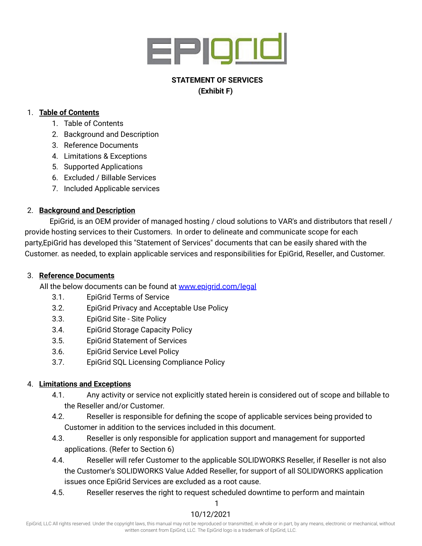

# **STATEMENT OF SERVICES (Exhibit F)**

### 1. **Table of Contents**

- 1. Table of Contents
- 2. Background and Description
- 3. Reference Documents
- 4. Limitations & Exceptions
- 5. Supported Applications
- 6. Excluded / Billable Services
- 7. Included Applicable services

# 2. **Background and Description**

EpiGrid, is an OEM provider of managed hosting / cloud solutions to VAR's and distributors that resell / provide hosting services to their Customers. In order to delineate and communicate scope for each party,EpiGrid has developed this "Statement of Services" documents that can be easily shared with the Customer. as needed, to explain applicable services and responsibilities for EpiGrid, Reseller, and Customer.

## 3. **Reference Documents**

All the below documents can be found at [www.epigrid.com/legal](https://www.epigrid.com/legal)

- 3.1. EpiGrid Terms of Service
- 3.2. EpiGrid Privacy and Acceptable Use Policy
- 3.3. EpiGrid Site Site Policy
- 3.4. EpiGrid Storage Capacity Policy
- 3.5. EpiGrid Statement of Services
- 3.6. EpiGrid Service Level Policy
- 3.7. EpiGrid SQL Licensing Compliance Policy

# 4. **Limitations and Exceptions**

- 4.1. Any activity or service not explicitly stated herein is considered out of scope and billable to the Reseller and/or Customer.
- 4.2. Reseller is responsible for defining the scope of applicable services being provided to Customer in addition to the services included in this document.
- 4.3. Reseller is only responsible for application support and management for supported applications. (Refer to Section 6)
- 4.4. Reseller will refer Customer to the applicable SOLIDWORKS Reseller, if Reseller is not also the Customer's SOLIDWORKS Value Added Reseller, for support of all SOLIDWORKS application issues once EpiGrid Services are excluded as a root cause.
- 4.5. Reseller reserves the right to request scheduled downtime to perform and maintain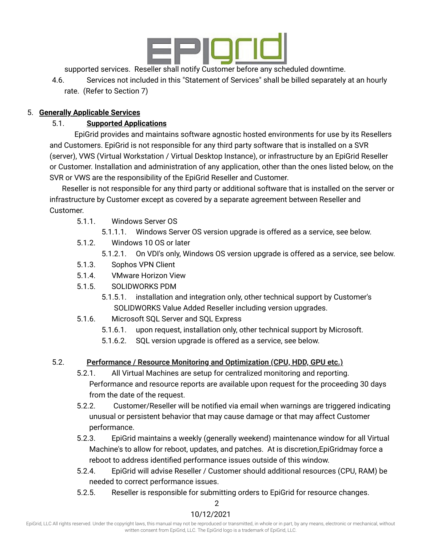

supported services. Reseller shall notify Customer before any scheduled downtime.

4.6. Services not included in this "Statement of Services" shall be billed separately at an hourly rate. (Refer to Section 7)

### 5. **Generally Applicable Services**

## 5.1. **Supported Applications**

EpiGrid provides and maintains software agnostic hosted environments for use by its Resellers and Customers. EpiGrid is not responsible for any third party software that is installed on a SVR (server), VWS (Virtual Workstation / Virtual Desktop Instance), or infrastructure by an EpiGrid Reseller or Customer. Installation and administration of any application, other than the ones listed below, on the SVR or VWS are the responsibility of the EpiGrid Reseller and Customer.

Reseller is not responsible for any third party or additional software that is installed on the server or infrastructure by Customer except as covered by a separate agreement between Reseller and Customer.

- 5.1.1. Windows Server OS
	- 5.1.1.1. Windows Server OS version upgrade is offered as a service, see below.
- 5.1.2. Windows 10 OS or later
	- 5.1.2.1. On VDI's only, Windows OS version upgrade is offered as a service, see below.
- 5.1.3. Sophos VPN Client
- 5.1.4. VMware Horizon View
- 5.1.5. SOLIDWORKS PDM
	- 5.1.5.1. installation and integration only, other technical support by Customer's SOLIDWORKS Value Added Reseller including version upgrades.
- 5.1.6. Microsoft SQL Server and SQL Express
	- 5.1.6.1. upon request, installation only, other technical support by Microsoft.
	- 5.1.6.2. SQL version upgrade is offered as a service, see below.

## 5.2. **Performance / Resource Monitoring and Optimization (CPU, HDD, GPU etc.)**

- 5.2.1. All Virtual Machines are setup for centralized monitoring and reporting. Performance and resource reports are available upon request for the proceeding 30 days from the date of the request.
- 5.2.2. Customer/Reseller will be notified via email when warnings are triggered indicating unusual or persistent behavior that may cause damage or that may affect Customer performance.
- 5.2.3. EpiGrid maintains a weekly (generally weekend) maintenance window for all Virtual Machine's to allow for reboot, updates, and patches. At is discretion,EpiGridmay force a reboot to address identified performance issues outside of this window.
- 5.2.4. EpiGrid will advise Reseller / Customer should additional resources (CPU, RAM) be needed to correct performance issues.
- 5.2.5. Reseller is responsible for submitting orders to EpiGrid for resource changes.

 $\mathcal{D}$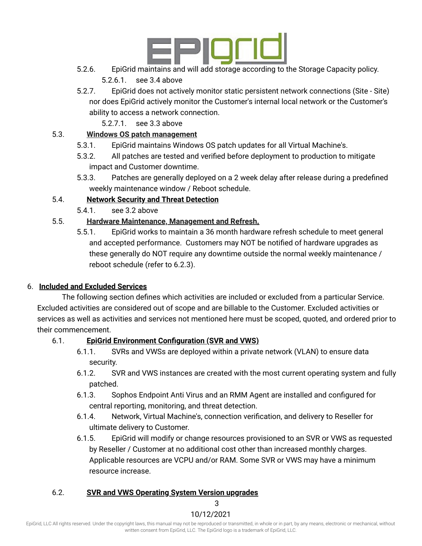

- 5.2.6. EpiGrid maintains and will add storage according to the Storage Capacity policy. 5.2.6.1. see 3.4 above
- 5.2.7. EpiGrid does not actively monitor static persistent network connections (Site Site) nor does EpiGrid actively monitor the Customer's internal local network or the Customer's ability to access a network connection.
	- 5.2.7.1. see 3.3 above

# 5.3. **Windows OS patch management**

- 5.3.1. EpiGrid maintains Windows OS patch updates for all Virtual Machine's.
- 5.3.2. All patches are tested and verified before deployment to production to mitigate impact and Customer downtime.
- 5.3.3. Patches are generally deployed on a 2 week delay after release during a predefined weekly maintenance window / Reboot schedule.

# 5.4. **Network Security and Threat Detection**

5.4.1. see 3.2 above

# 5.5. **Hardware Maintenance, Management and Refresh.**

5.5.1. EpiGrid works to maintain a 36 month hardware refresh schedule to meet general and accepted performance. Customers may NOT be notified of hardware upgrades as these generally do NOT require any downtime outside the normal weekly maintenance / reboot schedule (refer to 6.2.3).

# 6. **Included and Excluded Services**

The following section defines which activities are included or excluded from a particular Service. Excluded activities are considered out of scope and are billable to the Customer. Excluded activities or services as well as activities and services not mentioned here must be scoped, quoted, and ordered prior to their commencement.

## 6.1. **EpiGrid Environment Configuration (SVR and VWS)**

- 6.1.1. SVRs and VWSs are deployed within a private network (VLAN) to ensure data security.
- 6.1.2. SVR and VWS instances are created with the most current operating system and fully patched.
- 6.1.3. Sophos Endpoint Anti Virus and an RMM Agent are installed and configured for central reporting, monitoring, and threat detection.
- 6.1.4. Network, Virtual Machine's, connection verification, and delivery to Reseller for ultimate delivery to Customer.
- 6.1.5. EpiGrid will modify or change resources provisioned to an SVR or VWS as requested by Reseller / Customer at no additional cost other than increased monthly charges. Applicable resources are VCPU and/or RAM. Some SVR or VWS may have a minimum resource increase.

# 6.2. **SVR and VWS Operating System Version upgrades**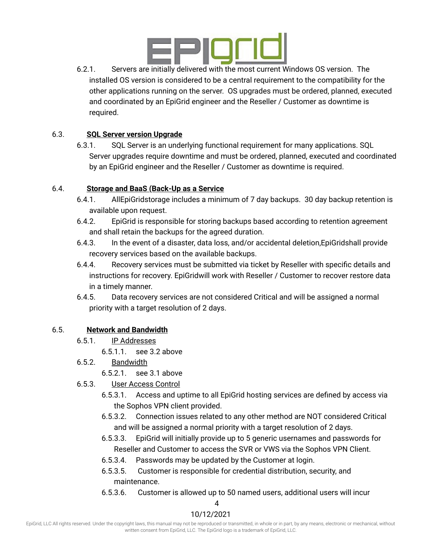

6.2.1. Servers are initially delivered with the most current Windows OS version. The installed OS version is considered to be a central requirement to the compatibility for the other applications running on the server. OS upgrades must be ordered, planned, executed and coordinated by an EpiGrid engineer and the Reseller / Customer as downtime is required.

#### 6.3. **SQL Server version Upgrade**

6.3.1. SQL Server is an underlying functional requirement for many applications. SQL Server upgrades require downtime and must be ordered, planned, executed and coordinated by an EpiGrid engineer and the Reseller / Customer as downtime is required.

#### 6.4. **Storage and BaaS (Back-Up as a Service**

- 6.4.1. AllEpiGridstorage includes a minimum of 7 day backups. 30 day backup retention is available upon request.
- 6.4.2. EpiGrid is responsible for storing backups based according to retention agreement and shall retain the backups for the agreed duration.
- 6.4.3. In the event of a disaster, data loss, and/or accidental deletion,EpiGridshall provide recovery services based on the available backups.
- 6.4.4. Recovery services must be submitted via ticket by Reseller with specific details and instructions for recovery. EpiGridwill work with Reseller / Customer to recover restore data in a timely manner.
- 6.4.5. Data recovery services are not considered Critical and will be assigned a normal priority with a target resolution of 2 days.

#### 6.5. **Network and Bandwidth**

- 6.5.1. IP Addresses
	- 6.5.1.1. see 3.2 above
- 6.5.2. Bandwidth
	- 6.5.2.1. see 3.1 above
- 6.5.3. User Access Control
	- 6.5.3.1. Access and uptime to all EpiGrid hosting services are defined by access via the Sophos VPN client provided.
	- 6.5.3.2. Connection issues related to any other method are NOT considered Critical and will be assigned a normal priority with a target resolution of 2 days.
	- 6.5.3.3. EpiGrid will initially provide up to 5 generic usernames and passwords for Reseller and Customer to access the SVR or VWS via the Sophos VPN Client.
	- 6.5.3.4. Passwords may be updated by the Customer at login.
	- 6.5.3.5. Customer is responsible for credential distribution, security, and maintenance.
	- 6.5.3.6. Customer is allowed up to 50 named users, additional users will incur

4